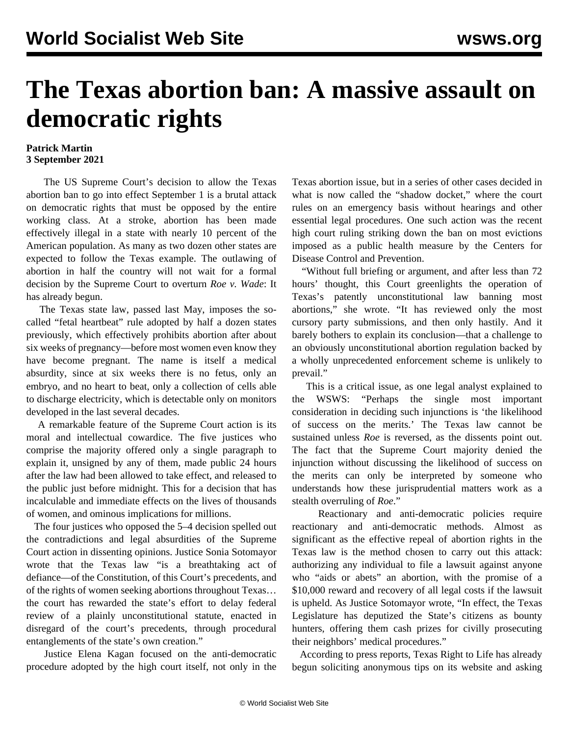## **The Texas abortion ban: A massive assault on democratic rights**

## **Patrick Martin 3 September 2021**

 The US Supreme Court's decision to allow the Texas abortion ban to go into effect September 1 is a brutal attack on democratic rights that must be opposed by the entire working class. At a stroke, abortion has been made effectively illegal in a state with nearly 10 percent of the American population. As many as two dozen other states are expected to follow the Texas example. The outlawing of abortion in half the country will not wait for a formal decision by the Supreme Court to overturn *Roe v. Wade*: It has already begun.

 The Texas state law, passed last May, imposes the socalled "fetal heartbeat" rule adopted by half a dozen states previously, which effectively prohibits abortion after about six weeks of pregnancy—before most women even know they have become pregnant. The name is itself a medical absurdity, since at six weeks there is no fetus, only an embryo, and no heart to beat, only a collection of cells able to discharge electricity, which is detectable only on monitors developed in the last several decades.

 A remarkable feature of the Supreme Court action is its moral and intellectual cowardice. The five justices who comprise the majority offered only a single paragraph to explain it, unsigned by any of them, made public 24 hours after the law had been allowed to take effect, and released to the public just before midnight. This for a decision that has incalculable and immediate effects on the lives of thousands of women, and ominous implications for millions.

 The four justices who opposed the 5–4 decision spelled out the contradictions and legal absurdities of the Supreme Court action in dissenting opinions. Justice Sonia Sotomayor wrote that the Texas law "is a breathtaking act of defiance—of the Constitution, of this Court's precedents, and of the rights of women seeking abortions throughout Texas… the court has rewarded the state's effort to delay federal review of a plainly unconstitutional statute, enacted in disregard of the court's precedents, through procedural entanglements of the state's own creation."

 Justice Elena Kagan focused on the anti-democratic procedure adopted by the high court itself, not only in the

Texas abortion issue, but in a series of other cases decided in what is now called the "shadow docket," where the court rules on an emergency basis without hearings and other essential legal procedures. One such action was the recent high court ruling striking down the ban on most evictions imposed as a public health measure by the Centers for Disease Control and Prevention.

 "Without full briefing or argument, and after less than 72 hours' thought, this Court greenlights the operation of Texas's patently unconstitutional law banning most abortions," she wrote. "It has reviewed only the most cursory party submissions, and then only hastily. And it barely bothers to explain its conclusion—that a challenge to an obviously unconstitutional abortion regulation backed by a wholly unprecedented enforcement scheme is unlikely to prevail."

 This is a critical issue, as one legal analyst explained to the WSWS: "Perhaps the single most important consideration in deciding such injunctions is 'the likelihood of success on the merits.' The Texas law cannot be sustained unless *Roe* is reversed, as the dissents point out. The fact that the Supreme Court majority denied the injunction without discussing the likelihood of success on the merits can only be interpreted by someone who understands how these jurisprudential matters work as a stealth overruling of *Roe*."

 Reactionary and anti-democratic policies require reactionary and anti-democratic methods. Almost as significant as the effective repeal of abortion rights in the Texas law is the method chosen to carry out this attack: authorizing any individual to file a lawsuit against anyone who "aids or abets" an abortion, with the promise of a \$10,000 reward and recovery of all legal costs if the lawsuit is upheld. As Justice Sotomayor wrote, "In effect, the Texas Legislature has deputized the State's citizens as bounty hunters, offering them cash prizes for civilly prosecuting their neighbors' medical procedures."

 According to press reports, Texas Right to Life has already begun soliciting anonymous tips on its website and asking